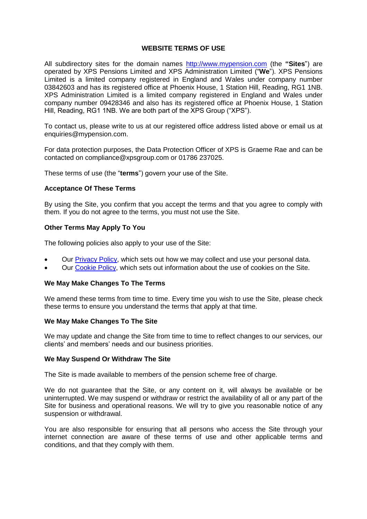## **WEBSITE TERMS OF USE**

All subdirectory sites for the domain names [http://www.mypension.com](http://www.mypension.com/) (the **"Sites**") are operated by XPS Pensions Limited and XPS Administration Limited ("**We**"). XPS Pensions Limited is a limited company registered in England and Wales under company number 03842603 and has its registered office at Phoenix House, 1 Station Hill, Reading, RG1 1NB. XPS Administration Limited is a limited company registered in England and Wales under company number 09428346 and also has its registered office at Phoenix House, 1 Station Hill, Reading, RG1 1NB. We are both part of the XPS Group ("XPS").

To contact us, please write to us at our registered office address listed above or email us at enquiries@mypension.com.

For data protection purposes, the Data Protection Officer of XPS is Graeme Rae and can be contacted on compliance@xpsgroup.com or 01786 237025.

These terms of use (the "**terms**") govern your use of the Site.

# **Acceptance Of These Terms**

By using the Site, you confirm that you accept the terms and that you agree to comply with them. If you do not agree to the terms, you must not use the Site.

## **Other Terms May Apply To You**

The following policies also apply to your use of the Site:

- Our [Privacy Policy,](https://www.xpsgroup.com/legal-regulatory/privacy-policy/) which sets out how we may collect and use your personal data.
- Our [Cookie Policy,](https://www.xpsgroup.com/legal-regulatory/cookie-policy/) which sets out information about the use of cookies on the Site.

### **We May Make Changes To The Terms**

We amend these terms from time to time. Every time you wish to use the Site, please check these terms to ensure you understand the terms that apply at that time.

### **We May Make Changes To The Site**

We may update and change the Site from time to time to reflect changes to our services, our clients' and members' needs and our business priorities.

### **We May Suspend Or Withdraw The Site**

The Site is made available to members of the pension scheme free of charge.

We do not guarantee that the Site, or any content on it, will always be available or be uninterrupted. We may suspend or withdraw or restrict the availability of all or any part of the Site for business and operational reasons. We will try to give you reasonable notice of any suspension or withdrawal.

You are also responsible for ensuring that all persons who access the Site through your internet connection are aware of these terms of use and other applicable terms and conditions, and that they comply with them.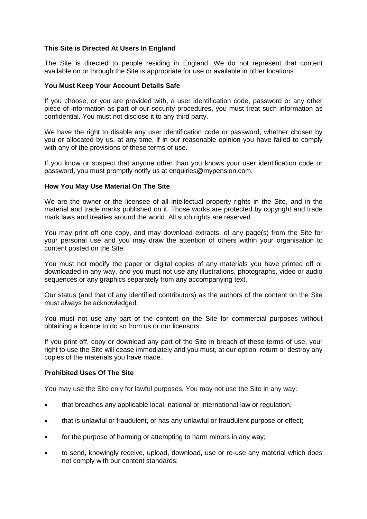# **This Site is Directed At Users In England**

The Site is directed to people residing in England. We do not represent that content available on or through the Site is appropriate for use or available in other locations.

## **You Must Keep Your Account Details Safe**

If you choose, or you are provided with, a user identification code, password or any other piece of information as part of our security procedures, you must treat such information as confidential. You must not disclose it to any third party.

We have the right to disable any user identification code or password, whether chosen by you or allocated by us, at any time, if in our reasonable opinion you have failed to comply with any of the provisions of these terms of use.

If you know or suspect that anyone other than you knows your user identification code or password, you must promptly notify us at enquiries@mypension.com.

## **How You May Use Material On The Site**

We are the owner or the licensee of all intellectual property rights in the Site, and in the material and trade marks published on it. Those works are protected by copyright and trade mark laws and treaties around the world. All such rights are reserved.

You may print off one copy, and may download extracts, of any page(s) from the Site for your personal use and you may draw the attention of others within your organisation to content posted on the Site.

You must not modify the paper or digital copies of any materials you have printed off or downloaded in any way, and you must not use any illustrations, photographs, video or audio sequences or any graphics separately from any accompanying text.

Our status (and that of any identified contributors) as the authors of the content on the Site must always be acknowledged.

You must not use any part of the content on the Site for commercial purposes without obtaining a licence to do so from us or our licensors.

If you print off, copy or download any part of the Site in breach of these terms of use, your right to use the Site will cease immediately and you must, at our option, return or destroy any copies of the materials you have made.

### **Prohibited Uses Of The Site**

You may use the Site only for lawful purposes. You may not use the Site in any way:

- that breaches any applicable local, national or international law or regulation;
- that is unlawful or fraudulent, or has any unlawful or fraudulent purpose or effect;
- for the purpose of harming or attempting to harm minors in any way;
- to send, knowingly receive, upload, download, use or re-use any material which does not comply with our content standards;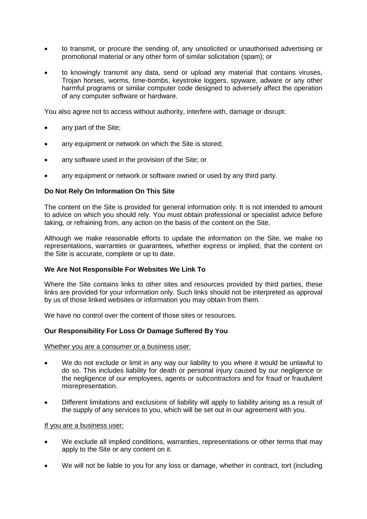- to transmit, or procure the sending of, any unsolicited or unauthorised advertising or promotional material or any other form of similar solicitation (spam); or
- to knowingly transmit any data, send or upload any material that contains viruses, Trojan horses, worms, time-bombs, keystroke loggers, spyware, adware or any other harmful programs or similar computer code designed to adversely affect the operation of any computer software or hardware.

You also agree not to access without authority, interfere with, damage or disrupt:

- any part of the Site;
- any equipment or network on which the Site is stored;
- any software used in the provision of the Site; or
- any equipment or network or software owned or used by any third party.

## **Do Not Rely On Information On This Site**

The content on the Site is provided for general information only. It is not intended to amount to advice on which you should rely. You must obtain professional or specialist advice before taking, or refraining from, any action on the basis of the content on the Site.

Although we make reasonable efforts to update the information on the Site, we make no representations, warranties or guarantees, whether express or implied, that the content on the Site is accurate, complete or up to date.

### **We Are Not Responsible For Websites We Link To**

Where the Site contains links to other sites and resources provided by third parties, these links are provided for your information only. Such links should not be interpreted as approval by us of those linked websites or information you may obtain from them.

We have no control over the content of those sites or resources.

# **Our Responsibility For Loss Or Damage Suffered By You**

### Whether you are a consumer or a business user:

- We do not exclude or limit in any way our liability to you where it would be unlawful to do so. This includes liability for death or personal injury caused by our negligence or the negligence of our employees, agents or subcontractors and for fraud or fraudulent misrepresentation.
- Different limitations and exclusions of liability will apply to liability arising as a result of the supply of any services to you, which will be set out in our agreement with you.

### If you are a business user:

- We exclude all implied conditions, warranties, representations or other terms that may apply to the Site or any content on it.
- We will not be liable to you for any loss or damage, whether in contract, tort (including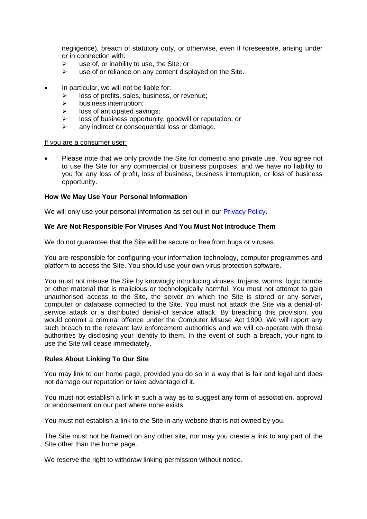negligence), breach of statutory duty, or otherwise, even if foreseeable, arising under or in connection with:

- $\geq$  use of, or inability to use, the Site; or  $\geq$  use of or reliance on any content disc
- use of or reliance on any content displayed on the Site.
- In particular, we will not be liable for:
	- $\triangleright$  loss of profits, sales, business, or revenue;
	- $\triangleright$  business interruption;
	- $\triangleright$  loss of anticipated savings;
	- $\triangleright$  loss of business opportunity, goodwill or reputation; or
	- $\triangleright$  any indirect or consequential loss or damage.

#### If you are a consumer user:

 Please note that we only provide the Site for domestic and private use. You agree not to use the Site for any commercial or business purposes, and we have no liability to you for any loss of profit, loss of business, business interruption, or loss of business opportunity.

## **How We May Use Your Personal Information**

We will only use your personal information as set out in our **Privacy Policy**.

## **We Are Not Responsible For Viruses And You Must Not Introduce Them**

We do not guarantee that the Site will be secure or free from bugs or viruses.

You are responsible for configuring your information technology, computer programmes and platform to access the Site. You should use your own virus protection software.

You must not misuse the Site by knowingly introducing viruses, trojans, worms, logic bombs or other material that is malicious or technologically harmful. You must not attempt to gain unauthorised access to the Site, the server on which the Site is stored or any server, computer or database connected to the Site. You must not attack the Site via a denial-ofservice attack or a distributed denial-of service attack. By breaching this provision, you would commit a criminal offence under the Computer Misuse Act 1990. We will report any such breach to the relevant law enforcement authorities and we will co-operate with those authorities by disclosing your identity to them. In the event of such a breach, your right to use the Site will cease immediately.

### **Rules About Linking To Our Site**

You may link to our home page, provided you do so in a way that is fair and legal and does not damage our reputation or take advantage of it.

You must not establish a link in such a way as to suggest any form of association, approval or endorsement on our part where none exists.

You must not establish a link to the Site in any website that is not owned by you.

The Site must not be framed on any other site, nor may you create a link to any part of the Site other than the home page.

We reserve the right to withdraw linking permission without notice.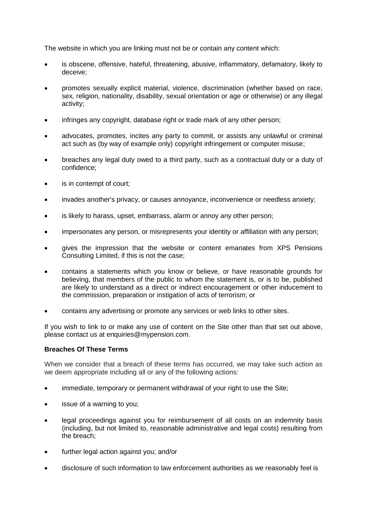The website in which you are linking must not be or contain any content which:

- is obscene, offensive, hateful, threatening, abusive, inflammatory, defamatory, likely to deceive;
- promotes sexually explicit material, violence, discrimination (whether based on race, sex, religion, nationality, disability, sexual orientation or age or otherwise) or any illegal activity;
- infringes any copyright, database right or trade mark of any other person;
- advocates, promotes, incites any party to commit, or assists any unlawful or criminal act such as (by way of example only) copyright infringement or computer misuse;
- breaches any legal duty owed to a third party, such as a contractual duty or a duty of confidence;
- is in contempt of court:
- invades another's privacy, or causes annoyance, inconvenience or needless anxiety;
- is likely to harass, upset, embarrass, alarm or annoy any other person;
- impersonates any person, or misrepresents your identity or affiliation with any person;
- gives the impression that the website or content emanates from XPS Pensions Consulting Limited, if this is not the case;
- contains a statements which you know or believe, or have reasonable grounds for believing, that members of the public to whom the statement is, or is to be, published are likely to understand as a direct or indirect encouragement or other inducement to the commission, preparation or instigation of acts of terrorism; or
- contains any advertising or promote any services or web links to other sites.

If you wish to link to or make any use of content on the Site other than that set out above, please contact us at enquiries@mypension.com.

## **Breaches Of These Terms**

When we consider that a breach of these terms has occurred, we may take such action as we deem appropriate including all or any of the following actions:

- immediate, temporary or permanent withdrawal of your right to use the Site;
- issue of a warning to you;
- legal proceedings against you for reimbursement of all costs on an indemnity basis (including, but not limited to, reasonable administrative and legal costs) resulting from the breach;
- further legal action against you; and/or
- disclosure of such information to law enforcement authorities as we reasonably feel is